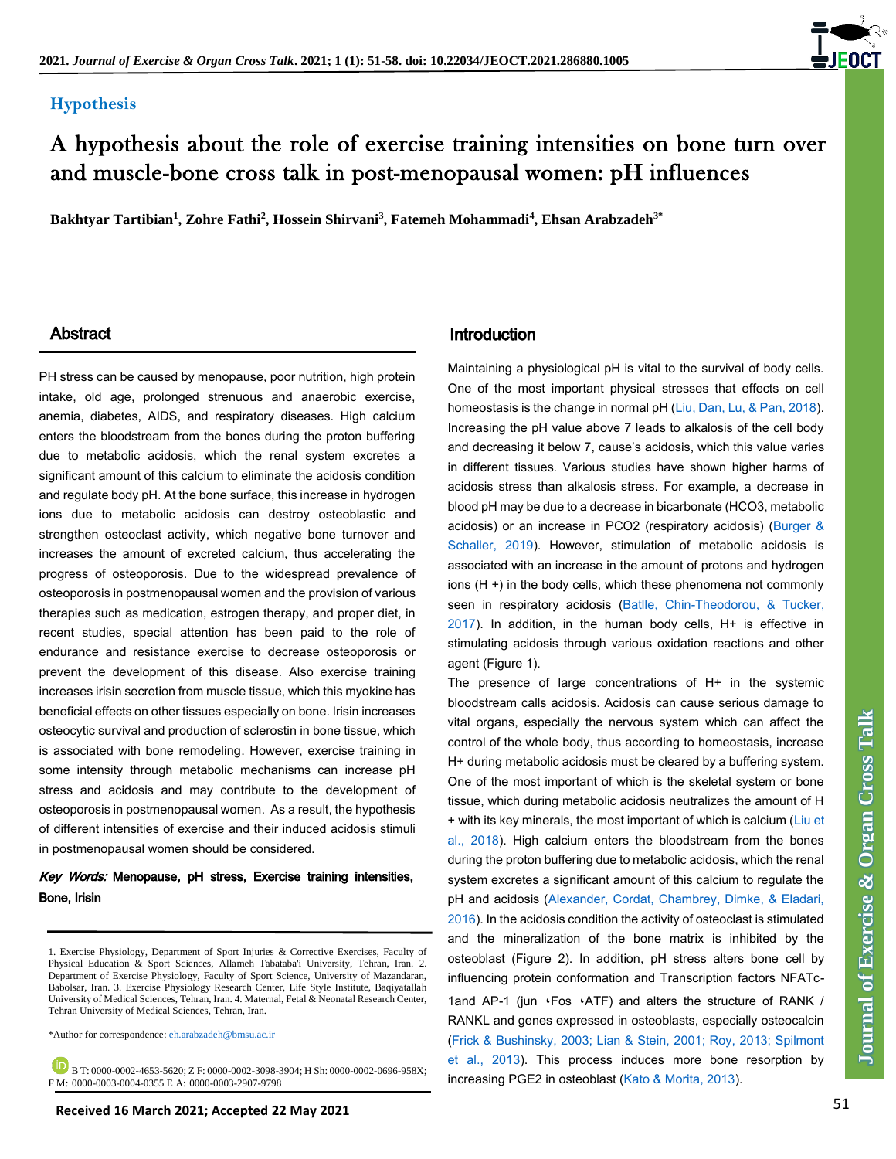#### **Hypothesis**

# A hypothesis about the role of exercise training intensities on bone turn over and muscle-bone cross talk in post-menopausal women: pH influences

**Bakhtyar Tartibian<sup>1</sup> , Zohre Fathi<sup>2</sup> , Hossein Shirvani<sup>3</sup> , Fatemeh Mohammadi<sup>4</sup> , Ehsan Arabzadeh3\***

PH stress can be caused by menopause, poor nutrition, high protein intake, old age, prolonged strenuous and anaerobic exercise, anemia, diabetes, AIDS, and respiratory diseases. High calcium enters the bloodstream from the bones during the proton buffering due to metabolic acidosis, which the renal system excretes a significant amount of this calcium to eliminate the acidosis condition and regulate body pH. At the bone surface, this increase in hydrogen ions due to metabolic acidosis can destroy osteoblastic and strengthen osteoclast activity, which negative bone turnover and increases the amount of excreted calcium, thus accelerating the progress of osteoporosis. Due to the widespread prevalence of osteoporosis in postmenopausal women and the provision of various therapies such as medication, estrogen therapy, and proper diet, in recent studies, special attention has been paid to the role of endurance and resistance exercise to decrease osteoporosis or prevent the development of this disease. Also exercise training increases irisin secretion from muscle tissue, which this myokine has beneficial effects on other tissues especially on bone. Irisin increases osteocytic survival and production of sclerostin in bone tissue, which is associated with bone remodeling. However, exercise training in some intensity through metabolic mechanisms can increase pH stress and acidosis and may contribute to the development of osteoporosis in postmenopausal women. As a result, the hypothesis of different intensities of exercise and their induced acidosis stimuli in postmenopausal women should be considered.

#### Key Words: Menopause, pH stress, Exercise training intensities, Bone, Irisin

\*Author for correspondence[: eh.arabzadeh@bmsu.ac.ir](mailto:eh.arabzadeh@bmsu.ac.ir) 

 B T: 0000-0002-4653-5620; Z F: 0000-0002-3098-3904; H Sh: 0000-0002-0696-958X; F M: 0000-0003-0004-0355 E A: 0000-0003-2907-9798

#### Abstract **Introduction**

Maintaining a physiological pH is vital to the survival of body cells. One of the most important physical stresses that effects on cell homeostasis is the change in normal pH [\(Liu, Dan, Lu, & Pan, 2018\)](#page-4-0). Increasing the pH value above 7 leads to alkalosis of the cell body and decreasing it below 7, cause's acidosis, which this value varies in different tissues. Various studies have shown higher harms of acidosis stress than alkalosis stress. For example, a decrease in blood pH may be due to a decrease in bicarbonate (HCO3, metabolic acidosis) or an increase in PCO2 (respiratory acidosis) [\(Burger &](#page-4-0)  [Schaller, 2019\)](#page-4-0). However, stimulation of metabolic acidosis is associated with an increase in the amount of protons and hydrogen ions (H +) in the body cells, which these phenomena not commonly seen in respiratory acidosis (Batlle, Chin-Theodorou, & Tucker,  $2017$ ). In addition, in the human body cells,  $H+$  is effective in stimulating acidosis through various oxidation reactions and other agent (Figure 1).

The presence of large concentrations of  $H+$  in the systemic bloodstream calls acidosis. Acidosis can cause serious damage to vital organs, especially the nervous system which can affect the control of the whole body, thus according to homeostasis, increase H+ during metabolic acidosis must be cleared by a buffering system. One of the most important of which is the skeletal system or bone tissue, which during metabolic acidosis neutralizes the amount of H + with its key minerals, the most important of which is calcium [\(Liu et](#page-4-0)  [al., 2018\)](#page-4-0). High calcium enters the bloodstream from the bones during the proton buffering due to metabolic acidosis, which the renal system excretes a significant amount of this calcium to regulate the pH and acidosis [\(Alexander, Cordat, Chambrey, Dimke, & Eladari,](#page-4-0)  [2016\)](#page-4-0). In the acidosis condition the activity of osteoclast is stimulated and the mineralization of the bone matrix is inhibited by the osteoblast (Figure 2). In addition, pH stress alters bone cell by influencing protein conformation and Transcription factors NFATc-1and AP-1 (jun 'Fos 'ATF) and alters the structure of RANK / RANKL and genes expressed in osteoblasts, especially osteocalcin [\(Frick & Bushinsky, 2003; Lian & Stein, 2001; Roy, 2013; Spilmont](#page-4-0)  [et al., 2013\)](#page-4-0). This process induces more bone resorption by increasing PGE2 in osteoblast [\(Kato & Morita, 2013\)](#page-4-0).



<sup>1.</sup> Exercise Physiology, Department of Sport Injuries & Corrective Exercises, Faculty of Physical Education & Sport Sciences, Allameh Tabataba'i University, Tehran, Iran. 2. Department of Exercise Physiology, Faculty of Sport Science, University of Mazandaran, Babolsar, Iran. 3. Exercise Physiology Research Center, Life Style Institute, Baqiyatallah University of Medical Sciences, Tehran, Iran. 4. Maternal, Fetal & Neonatal Research Center, Tehran University of Medical Sciences, Tehran, Iran.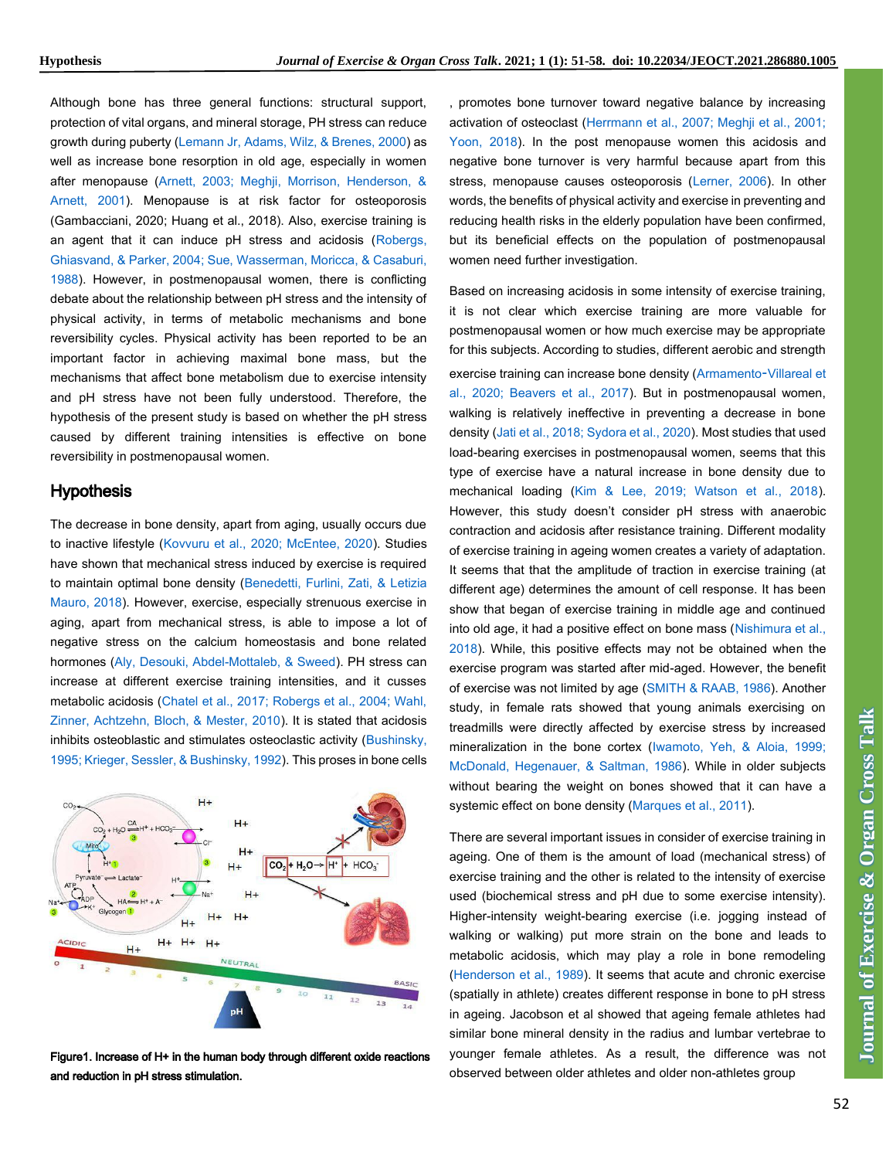Although bone has three general functions: structural support, protection of vital organs, and mineral storage, PH stress can reduce growth during puberty [\(Lemann Jr, Adams, Wilz, & Brenes, 2000\)](#page-4-0) as well as increase bone resorption in old age, especially in women after menopause [\(Arnett, 2003; Meghji, Morrison, Henderson, &](#page-4-0)  [Arnett, 2001\)](#page-4-0). Menopause is at risk factor for osteoporosis (Gambacciani, 2020; Huang et al., 2018). Also, exercise training is an agent that it can induce pH stress and acidosis [\(Robergs,](#page-4-0)  [Ghiasvand, & Parker, 2004; Sue, Wasserman, Moricca, & Casaburi,](#page-4-0)  [1988\)](#page-4-0). However, in postmenopausal women, there is conflicting debate about the relationship between pH stress and the intensity of physical activity, in terms of metabolic mechanisms and bone reversibility cycles. Physical activity has been reported to be an important factor in achieving maximal bone mass, but the mechanisms that affect bone metabolism due to exercise intensity and pH stress have not been fully understood. Therefore, the hypothesis of the present study is based on whether the pH stress caused by different training intensities is effective on bone reversibility in postmenopausal women.

#### **Hypothesis**

The decrease in bone density, apart from aging, usually occurs due to inactive lifestyle [\(Kovvuru et al., 2020; McEntee, 2020\)](#page-4-0). Studies have shown that mechanical stress induced by exercise is required to maintain optimal bone density [\(Benedetti, Furlini, Zati, & Letizia](#page-4-0)  [Mauro, 2018\)](#page-4-0). However, exercise, especially strenuous exercise in aging, apart from mechanical stress, is able to impose a lot of negative stress on the calcium homeostasis and bone related hormones [\(Aly, Desouki, Abdel-Mottaleb, & Sweed\)](#page-4-0). PH stress can increase at different exercise training intensities, and it cusses metabolic acidosis [\(Chatel et al., 2017; Robergs et al., 2004; Wahl,](#page-4-0)  [Zinner, Achtzehn, Bloch, & Mester, 2010\)](#page-4-0). It is stated that acidosis inhibits osteoblastic and stimulates osteoclastic activity [\(Bushinsky,](#page-4-0)  [1995; Krieger, Sessler, & Bushinsky, 1992\)](#page-4-0). This proses in bone cells



Figure1. Increase of H+ in the human body through different oxide reactions and reduction in pH stress stimulation.

, promotes bone turnover toward negative balance by increasing activation of osteoclast [\(Herrmann et al., 2007; Meghji et al., 2001;](#page-4-0)  [Yoon, 2018\)](#page-4-0). In the post menopause women this acidosis and negative bone turnover is very harmful because apart from this stress, menopause causes osteoporosis [\(Lerner, 2006\)](#page-4-0). In other words, the benefits of physical activity and exercise in preventing and reducing health risks in the elderly population have been confirmed, but its beneficial effects on the population of postmenopausal women need further investigation.

**Note that we experimented that are experimented to the system of the system of the system of the system of the system of the system of the system of the system of the system of the system of the system of the system of t** Based on increasing acidosis in some intensity of exercise training, it is not clear which exercise training are more valuable for postmenopausal women or how much exercise may be appropriate for this subjects. According to studies, different aerobic and strength exercise training can increase bone density [\(Armamento](#page-4-0)‐Villareal et [al., 2020; Beavers et al., 2017\)](#page-4-0). But in postmenopausal women, walking is relatively ineffective in preventing a decrease in bone density [\(Jati et al., 2018; Sydora et al., 2020\)](#page-4-0). Most studies that used load-bearing exercises in postmenopausal women, seems that this type of exercise have a natural increase in bone density due to mechanical loading [\(Kim & Lee, 2019; Watson et al., 2018\)](#page-4-0). However, this study doesn't consider pH stress with anaerobic contraction and acidosis after resistance training. Different modality of exercise training in ageing women creates a variety of adaptation. It seems that that the amplitude of traction in exercise training (at different age) determines the amount of cell response. It has been show that began of exercise training in middle age and continued into old age, it had a positive effect on bone mass [\(Nishimura et al.,](#page-4-0)  [2018\)](#page-4-0). While, this positive effects may not be obtained when the exercise program was started after mid-aged. However, the benefit of exercise was not limited by age [\(SMITH & RAAB, 1986\)](#page-4-0). Another study, in female rats showed that young animals exercising on treadmills were directly affected by exercise stress by increased mineralization in the bone cortex [\(Iwamoto, Yeh, & Aloia, 1999;](#page-4-0)  [McDonald, Hegenauer, & Saltman, 1986\)](#page-4-0). While in older subjects without bearing the weight on bones showed that it can have a systemic effect on bone density [\(Marques et al., 2011\)](#page-4-0).

There are several important issues in consider of exercise training in ageing. One of them is the amount of load (mechanical stress) of exercise training and the other is related to the intensity of exercise used (biochemical stress and pH due to some exercise intensity). Higher-intensity weight-bearing exercise (i.e. jogging instead of walking or walking) put more strain on the bone and leads to metabolic acidosis, which may play a role in bone remodeling [\(Henderson et al., 1989\)](#page-4-0). It seems that acute and chronic exercise (spatially in athlete) creates different response in bone to pH stress in ageing. Jacobson et al showed that ageing female athletes had similar bone mineral density in the radius and lumbar vertebrae to younger female athletes. As a result, the difference was not observed between older athletes and older non-athletes group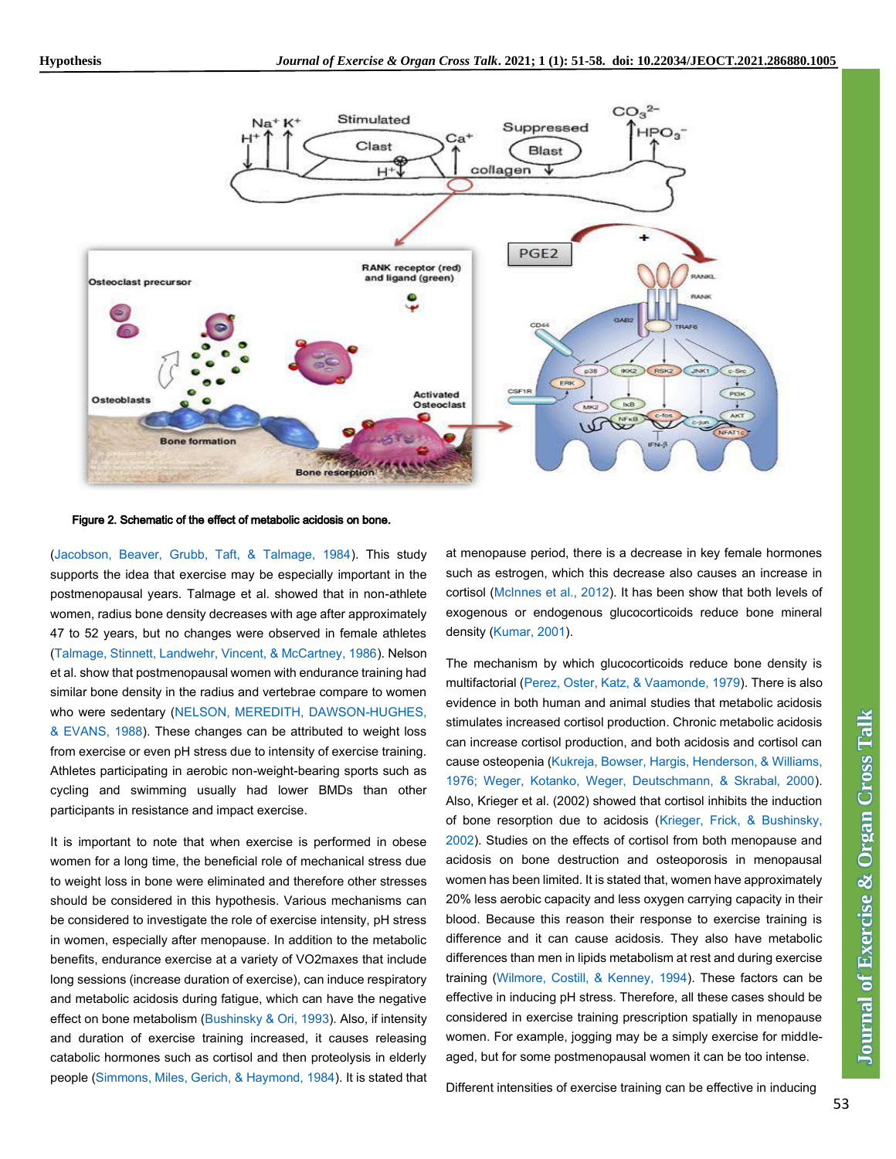

Figure 2. Schematic of the effect of metabolic acidosis on bone.

[\(Jacobson, Beaver, Grubb, Taft, & Talmage, 1984\)](#page-4-0). This study supports the idea that exercise may be especially important in the postmenopausal years. Talmage et al. showed that in non-athlete women, radius bone density decreases with age after approximately 47 to 52 years, but no changes were observed in female athletes [\(Talmage, Stinnett, Landwehr, Vincent, & McCartney, 1986\)](#page-4-0). Nelson et al. show that postmenopausal women with endurance training had similar bone density in the radius and vertebrae compare to women who were sedentary [\(NELSON, MEREDITH, DAWSON-HUGHES,](#page-4-0)  [& EVANS, 1988\)](#page-4-0). These changes can be attributed to weight loss from exercise or even pH stress due to intensity of exercise training. Athletes participating in aerobic non-weight-bearing sports such as cycling and swimming usually had lower BMDs than other participants in resistance and impact exercise.

It is important to note that when exercise is performed in obese women for a long time, the beneficial role of mechanical stress due to weight loss in bone were eliminated and therefore other stresses should be considered in this hypothesis. Various mechanisms can be considered to investigate the role of exercise intensity, pH stress in women, especially after menopause. In addition to the metabolic benefits, endurance exercise at a variety of VO2maxes that include long sessions (increase duration of exercise), can induce respiratory and metabolic acidosis during fatigue, which can have the negative effect on bone metabolism [\(Bushinsky & Ori, 1993\)](#page-4-0). Also, if intensity and duration of exercise training increased, it causes releasing catabolic hormones such as cortisol and then proteolysis in elderly people [\(Simmons, Miles, Gerich, & Haymond, 1984\)](#page-4-0). It is stated that at menopause period, there is a decrease in key female hormones such as estrogen, which this decrease also causes an increase in cortisol [\(McInnes et al., 2012\)](#page-4-0). It has been show that both levels of exogenous or endogenous glucocorticoids reduce bone mineral density [\(Kumar, 2001\)](#page-4-0).

The mechanism by which glucocorticoids reduce bone density is multifactorial [\(Perez, Oster, Katz, & Vaamonde, 1979\)](#page-4-0). There is also evidence in both human and animal studies that metabolic acidosis stimulates increased cortisol production. Chronic metabolic acidosis can increase cortisol production, and both acidosis and cortisol can cause osteopenia [\(Kukreja, Bowser, Hargis, Henderson, & Williams,](#page-4-0)  [1976; Weger, Kotanko, Weger, Deutschmann, & Skrabal, 2000\)](#page-4-0). Also, Krieger et al. (2002) showed that cortisol inhibits the induction of bone resorption due to acidosis [\(Krieger, Frick, & Bushinsky,](#page-4-0)  [2002\)](#page-4-0). Studies on the effects of cortisol from both menopause and acidosis on bone destruction and osteoporosis in menopausal women has been limited. It is stated that, women have approximately 20% less aerobic capacity and less oxygen carrying capacity in their blood. Because this reason their response to exercise training is difference and it can cause acidosis. They also have metabolic differences than men in lipids metabolism at rest and during exercise training [\(Wilmore, Costill, & Kenney, 1994\)](#page-4-0). These factors can be effective in inducing pH stress. Therefore, all these cases should be considered in exercise training prescription spatially in menopause women. For example, jogging may be a simply exercise for middleaged, but for some postmenopausal women it can be too intense.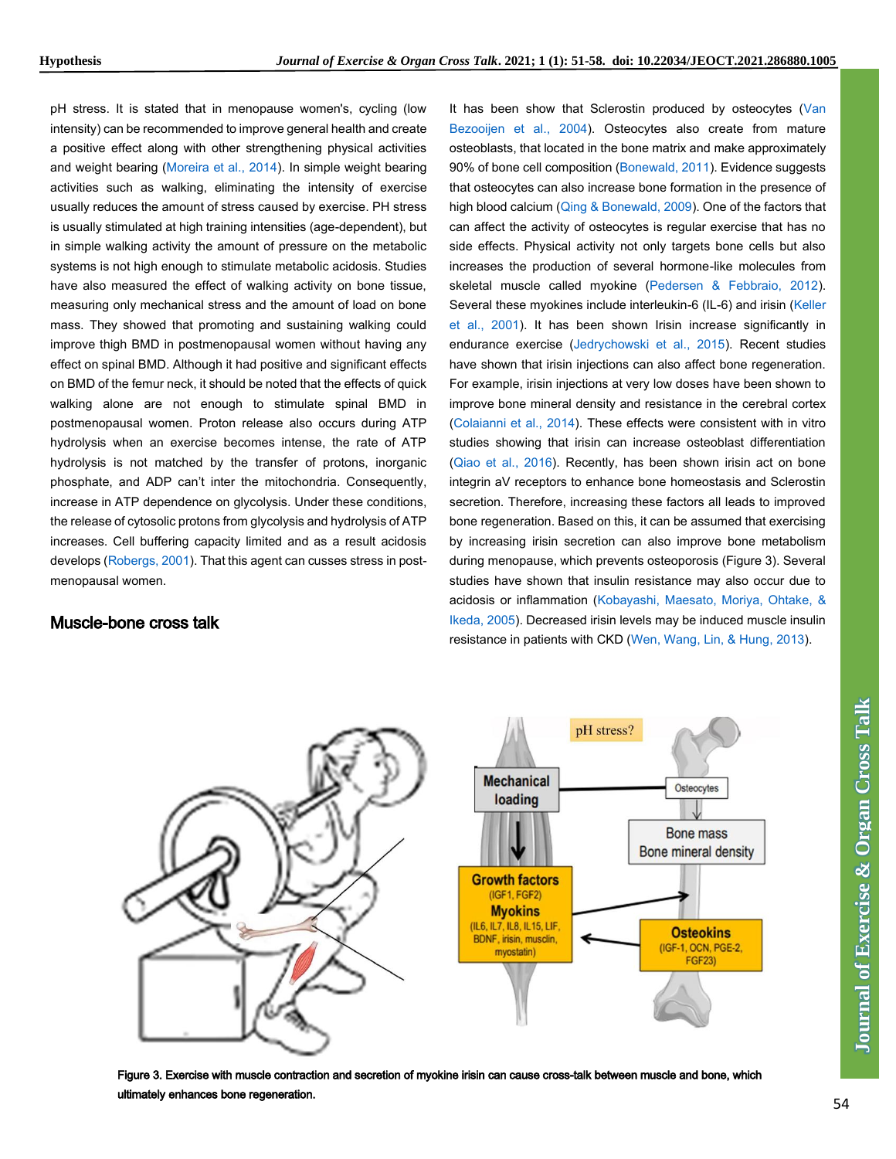pH stress. It is stated that in menopause women's, cycling (low intensity) can be recommended to improve general health and create a positive effect along with other strengthening physical activities and weight bearing [\(Moreira et al., 2014\)](#page-4-0). In simple weight bearing activities such as walking, eliminating the intensity of exercise usually reduces the amount of stress caused by exercise. PH stress is usually stimulated at high training intensities (age-dependent), but in simple walking activity the amount of pressure on the metabolic systems is not high enough to stimulate metabolic acidosis. Studies have also measured the effect of walking activity on bone tissue, measuring only mechanical stress and the amount of load on bone mass. They showed that promoting and sustaining walking could improve thigh BMD in postmenopausal women without having any effect on spinal BMD. Although it had positive and significant effects on BMD of the femur neck, it should be noted that the effects of quick walking alone are not enough to stimulate spinal BMD in postmenopausal women. Proton release also occurs during ATP hydrolysis when an exercise becomes intense, the rate of ATP hydrolysis is not matched by the transfer of protons, inorganic phosphate, and ADP can't inter the mitochondria. Consequently, increase in ATP dependence on glycolysis. Under these conditions, the release of cytosolic protons from glycolysis and hydrolysis of ATP increases. Cell buffering capacity limited and as a result acidosis develops [\(Robergs, 2001\)](#page-4-0). That this agent can cusses stress in postmenopausal women.

#### Muscle-bone cross talk

It has been show that Sclerostin produced by osteocytes [\(Van](#page-4-0)  [Bezooijen et al., 2004\)](#page-4-0). Osteocytes also create from mature osteoblasts, that located in the bone matrix and make approximately 90% of bone cell composition [\(Bonewald, 2011\)](#page-4-0). Evidence suggests that osteocytes can also increase bone formation in the presence of high blood calcium [\(Qing & Bonewald, 2009\)](#page-4-0). One of the factors that can affect the activity of osteocytes is regular exercise that has no side effects. Physical activity not only targets bone cells but also increases the production of several hormone-like molecules from skeletal muscle called myokine [\(Pedersen & Febbraio, 2012\)](#page-4-0). Several these myokines include interleukin-6 (IL-6) and irisin (Keller [et al., 2001\)](#page-4-0). It has been shown Irisin increase significantly in endurance exercise [\(Jedrychowski et al., 2015\)](#page-4-0). Recent studies have shown that irisin injections can also affect bone regeneration. For example, irisin injections at very low doses have been shown to improve bone mineral density and resistance in the cerebral cortex [\(Colaianni et al., 2014\)](#page-4-0). These effects were consistent with in vitro studies showing that irisin can increase osteoblast differentiation [\(Qiao et al., 2016\)](#page-4-0). Recently, has been shown irisin act on bone integrin aV receptors to enhance bone homeostasis and Sclerostin secretion. Therefore, increasing these factors all leads to improved bone regeneration. Based on this, it can be assumed that exercising by increasing irisin secretion can also improve bone metabolism during menopause, which prevents osteoporosis (Figure 3). Several studies have shown that insulin resistance may also occur due to acidosis or inflammation [\(Kobayashi, Maesato, Moriya, Ohtake, &](#page-4-0)  [Ikeda, 2005\)](#page-4-0). Decreased irisin levels may be induced muscle insulin resistance in patients with CKD [\(Wen, Wang, Lin, & Hung, 2013\)](#page-4-0).



Figure 3. Exercise with muscle contraction and secretion of myokine irisin can cause cross-talk between muscle and bone, which ultimately enhances bone regeneration.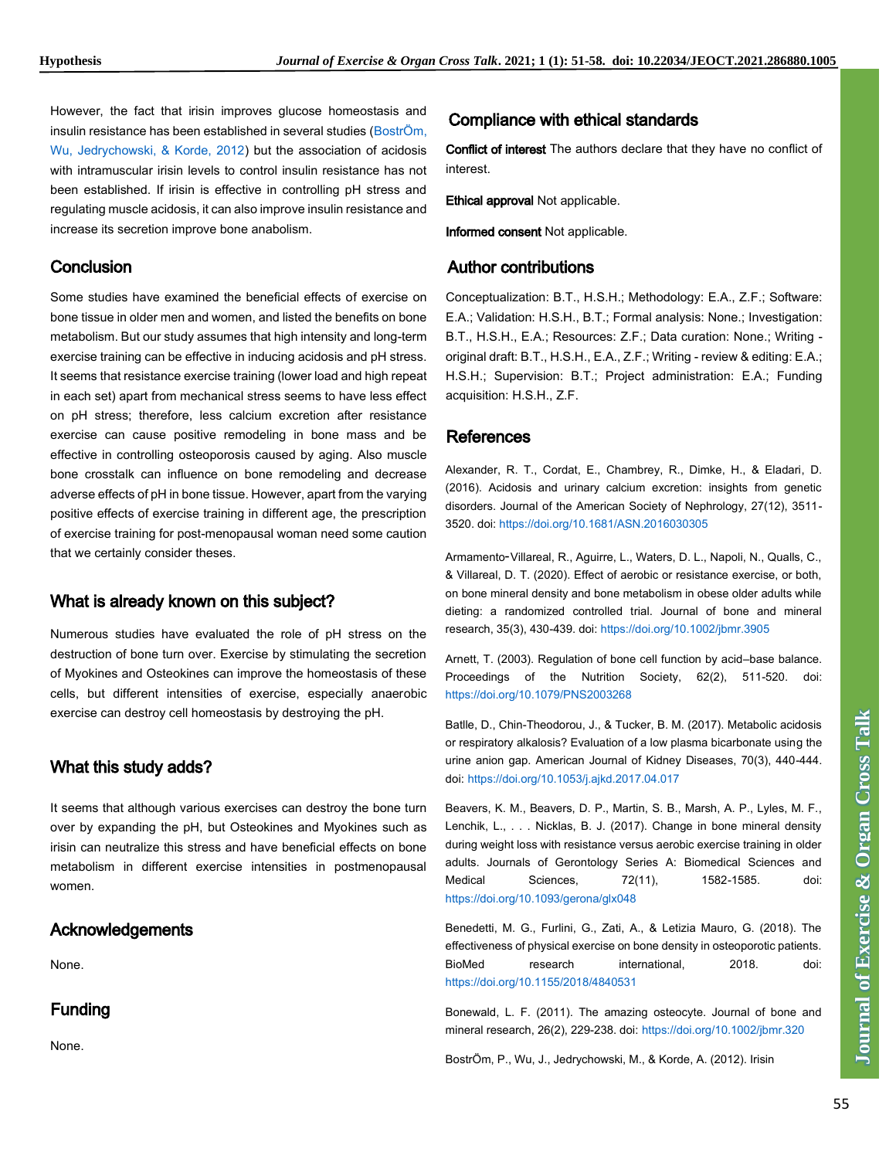However, the fact that irisin improves glucose homeostasis and insulin resistance has been established in several studies [\(BostrÖm,](#page-4-0)  [Wu, Jedrychowski, & Korde, 2012\)](#page-4-0) but the association of acidosis with intramuscular irisin levels to control insulin resistance has not been established. If irisin is effective in controlling pH stress and regulating muscle acidosis, it can also improve insulin resistance and increase its secretion improve bone anabolism.

#### **Conclusion**

Some studies have examined the beneficial effects of exercise on bone tissue in older men and women, and listed the benefits on bone metabolism. But our study assumes that high intensity and long-term exercise training can be effective in inducing acidosis and pH stress. It seems that resistance exercise training (lower load and high repeat in each set) apart from mechanical stress seems to have less effect on pH stress; therefore, less calcium excretion after resistance exercise can cause positive remodeling in bone mass and be effective in controlling osteoporosis caused by aging. Also muscle bone crosstalk can influence on bone remodeling and decrease adverse effects of pH in bone tissue. However, apart from the varying positive effects of exercise training in different age, the prescription of exercise training for post-menopausal woman need some caution that we certainly consider theses.

#### What is already known on this subject?

Numerous studies have evaluated the role of pH stress on the destruction of bone turn over. Exercise by stimulating the secretion of Myokines and Osteokines can improve the homeostasis of these cells, but different intensities of exercise, especially anaerobic exercise can destroy cell homeostasis by destroying the pH.

## What this study adds?

It seems that although various exercises can destroy the bone turn over by expanding the pH, but Osteokines and Myokines such as irisin can neutralize this stress and have beneficial effects on bone metabolism in different exercise intensities in postmenopausal women.

#### Acknowledgements

None.

## Funding

None.

#### Compliance with ethical standards

Conflict of interest The authors declare that they have no conflict of interest.

Ethical approval Not applicable.

Informed consent Not applicable.

#### Author contributions

Conceptualization: B.T., H.S.H.; Methodology: E.A., Z.F.; Software: E.A.; Validation: H.S.H., B.T.; Formal analysis: None.; Investigation: B.T., H.S.H., E.A.; Resources: Z.F.; Data curation: None.; Writing original draft: B.T., H.S.H., E.A., Z.F.; Writing - review & editing: E.A.; H.S.H.; Supervision: B.T.; Project administration: E.A.; Funding acquisition: H.S.H., Z.F.

#### <span id="page-4-0"></span>**References**

Alexander, R. T., Cordat, E., Chambrey, R., Dimke, H., & Eladari, D. (2016). Acidosis and urinary calcium excretion: insights from genetic disorders. Journal of the American Society of Nephrology, 27(12), 3511- 3520. doi[: https://doi.org/10.1681/ASN.2016030305](https://doi.org/10.1681/ASN.2016030305)

Armamento‐Villareal, R., Aguirre, L., Waters, D. L., Napoli, N., Qualls, C., & Villareal, D. T. (2020). Effect of aerobic or resistance exercise, or both, on bone mineral density and bone metabolism in obese older adults while dieting: a randomized controlled trial. Journal of bone and mineral research, 35(3), 430-439. doi[: https://doi.org/10.1002/jbmr.3905](https://doi.org/10.1002/jbmr.3905)

Arnett, T. (2003). Regulation of bone cell function by acid–base balance. Proceedings of the Nutrition Society, 62(2), 511-520. doi: <https://doi.org/10.1079/PNS2003268>

Batlle, D., Chin-Theodorou, J., & Tucker, B. M. (2017). Metabolic acidosis or respiratory alkalosis? Evaluation of a low plasma bicarbonate using the urine anion gap. American Journal of Kidney Diseases, 70(3), 440-444. doi: <https://doi.org/10.1053/j.ajkd.2017.04.017>

Beavers, K. M., Beavers, D. P., Martin, S. B., Marsh, A. P., Lyles, M. F., Lenchik, L., . . . Nicklas, B. J. (2017). Change in bone mineral density during weight loss with resistance versus aerobic exercise training in older adults. Journals of Gerontology Series A: Biomedical Sciences and Medical Sciences, 72(11), 1582-1585. doi: <https://doi.org/10.1093/gerona/glx048>

Benedetti, M. G., Furlini, G., Zati, A., & Letizia Mauro, G. (2018). The effectiveness of physical exercise on bone density in osteoporotic patients. BioMed research international, 2018. doi: <https://doi.org/10.1155/2018/4840531>

Bonewald, L. F. (2011). The amazing osteocyte. Journal of bone and mineral research, 26(2), 229-238. doi: <https://doi.org/10.1002/jbmr.320>

BostrÖm, P., Wu, J., Jedrychowski, M., & Korde, A. (2012). Irisin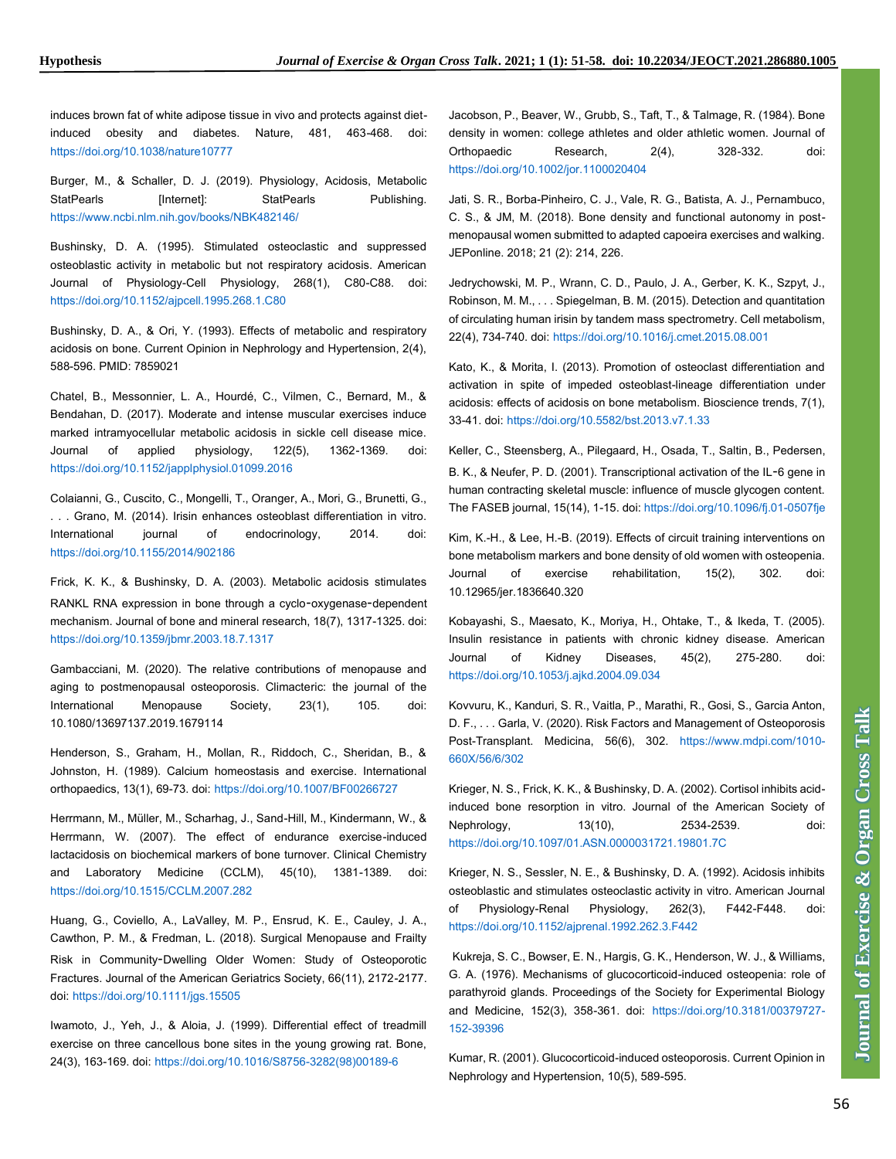induces brown fat of white adipose tissue in vivo and protects against dietinduced obesity and diabetes. Nature, 481, 463-468. doi: <https://doi.org/10.1038/nature10777>

Burger, M., & Schaller, D. J. (2019). Physiology, Acidosis, Metabolic StatPearls [Internet]: StatPearls Publishing. <https://www.ncbi.nlm.nih.gov/books/NBK482146/>

Bushinsky, D. A. (1995). Stimulated osteoclastic and suppressed osteoblastic activity in metabolic but not respiratory acidosis. American Journal of Physiology-Cell Physiology, 268(1), C80-C88. doi: <https://doi.org/10.1152/ajpcell.1995.268.1.C80>

Bushinsky, D. A., & Ori, Y. (1993). Effects of metabolic and respiratory acidosis on bone. Current Opinion in Nephrology and Hypertension, 2(4), 588-596. PMID: 7859021

Chatel, B., Messonnier, L. A., Hourdé, C., Vilmen, C., Bernard, M., & Bendahan, D. (2017). Moderate and intense muscular exercises induce marked intramyocellular metabolic acidosis in sickle cell disease mice. Journal of applied physiology, 122(5), 1362-1369. doi: <https://doi.org/10.1152/japplphysiol.01099.2016>

Colaianni, G., Cuscito, C., Mongelli, T., Oranger, A., Mori, G., Brunetti, G., . . . Grano, M. (2014). Irisin enhances osteoblast differentiation in vitro. International journal of endocrinology, 2014. doi: <https://doi.org/10.1155/2014/902186>

Frick, K. K., & Bushinsky, D. A. (2003). Metabolic acidosis stimulates RANKL RNA expression in bone through a cyclo‐oxygenase‐dependent mechanism. Journal of bone and mineral research, 18(7), 1317-1325. doi: <https://doi.org/10.1359/jbmr.2003.18.7.1317>

Gambacciani, M. (2020). The relative contributions of menopause and aging to postmenopausal osteoporosis. Climacteric: the journal of the International Menopause Society, 23(1), 105. doi: 10.1080/13697137.2019.1679114

Henderson, S., Graham, H., Mollan, R., Riddoch, C., Sheridan, B., & Johnston, H. (1989). Calcium homeostasis and exercise. International orthopaedics, 13(1), 69-73. doi: <https://doi.org/10.1007/BF00266727>

Herrmann, M., Müller, M., Scharhag, J., Sand-Hill, M., Kindermann, W., & Herrmann, W. (2007). The effect of endurance exercise-induced lactacidosis on biochemical markers of bone turnover. Clinical Chemistry and Laboratory Medicine (CCLM), 45(10), 1381-1389. doi: <https://doi.org/10.1515/CCLM.2007.282>

Huang, G., Coviello, A., LaValley, M. P., Ensrud, K. E., Cauley, J. A., Cawthon, P. M., & Fredman, L. (2018). Surgical Menopause and Frailty Risk in Community‐Dwelling Older Women: Study of Osteoporotic Fractures. Journal of the American Geriatrics Society, 66(11), 2172-2177. doi: <https://doi.org/10.1111/jgs.15505>

Iwamoto, J., Yeh, J., & Aloia, J. (1999). Differential effect of treadmill exercise on three cancellous bone sites in the young growing rat. Bone, 24(3), 163-169. doi: [https://doi.org/10.1016/S8756-3282\(98\)00189-6](https://doi.org/10.1016/S8756-3282(98)00189-6)

Jacobson, P., Beaver, W., Grubb, S., Taft, T., & Talmage, R. (1984). Bone density in women: college athletes and older athletic women. Journal of Orthopaedic Research, 2(4), 328-332. doi: <https://doi.org/10.1002/jor.1100020404>

Jati, S. R., Borba-Pinheiro, C. J., Vale, R. G., Batista, A. J., Pernambuco, C. S., & JM, M. (2018). Bone density and functional autonomy in postmenopausal women submitted to adapted capoeira exercises and walking. JEPonline. 2018; 21 (2): 214, 226.

Jedrychowski, M. P., Wrann, C. D., Paulo, J. A., Gerber, K. K., Szpyt, J., Robinson, M. M., . . . Spiegelman, B. M. (2015). Detection and quantitation of circulating human irisin by tandem mass spectrometry. Cell metabolism, 22(4), 734-740. doi: <https://doi.org/10.1016/j.cmet.2015.08.001>

Kato, K., & Morita, I. (2013). Promotion of osteoclast differentiation and activation in spite of impeded osteoblast-lineage differentiation under acidosis: effects of acidosis on bone metabolism. Bioscience trends, 7(1), 33-41. doi: <https://doi.org/10.5582/bst.2013.v7.1.33>

Keller, C., Steensberg, A., Pilegaard, H., Osada, T., Saltin, B., Pedersen, B. K., & Neufer, P. D. (2001). Transcriptional activation of the IL‐6 gene in human contracting skeletal muscle: influence of muscle glycogen content. The FASEB journal, 15(14), 1-15. doi[: https://doi.org/10.1096/fj.01-0507fje](https://doi.org/10.1096/fj.01-0507fje)

Kim, K.-H., & Lee, H.-B. (2019). Effects of circuit training interventions on bone metabolism markers and bone density of old women with osteopenia. Journal of exercise rehabilitation, 15(2), 302. doi: 10.12965/jer.1836640.320

Kobayashi, S., Maesato, K., Moriya, H., Ohtake, T., & Ikeda, T. (2005). Insulin resistance in patients with chronic kidney disease. American Journal of Kidney Diseases, 45(2), 275-280. doi: <https://doi.org/10.1053/j.ajkd.2004.09.034>

Kovvuru, K., Kanduri, S. R., Vaitla, P., Marathi, R., Gosi, S., Garcia Anton, D. F., . . . Garla, V. (2020). Risk Factors and Management of Osteoporosis Post-Transplant. Medicina, 56(6), 302. [https://www.mdpi.com/1010-](https://www.mdpi.com/1010-660X/56/6/302) [660X/56/6/302](https://www.mdpi.com/1010-660X/56/6/302)

Krieger, N. S., Frick, K. K., & Bushinsky, D. A. (2002). Cortisol inhibits acidinduced bone resorption in vitro. Journal of the American Society of Nephrology, 13(10), 2534-2539. doi: <https://doi.org/10.1097/01.ASN.0000031721.19801.7C>

Krieger, N. S., Sessler, N. E., & Bushinsky, D. A. (1992). Acidosis inhibits osteoblastic and stimulates osteoclastic activity in vitro. American Journal of Physiology-Renal Physiology, 262(3), F442-F448. doi: <https://doi.org/10.1152/ajprenal.1992.262.3.F442>

Kukreja, S. C., Bowser, E. N., Hargis, G. K., Henderson, W. J., & Williams, G. A. (1976). Mechanisms of glucocorticoid-induced osteopenia: role of parathyroid glands. Proceedings of the Society for Experimental Biology and Medicine, 152(3), 358-361. doi: [https://doi.org/10.3181/00379727-](https://doi.org/10.3181/00379727-152-39396) [152-39396](https://doi.org/10.3181/00379727-152-39396)

Kumar, R. (2001). Glucocorticoid-induced osteoporosis. Current Opinion in Nephrology and Hypertension, 10(5), 589-595.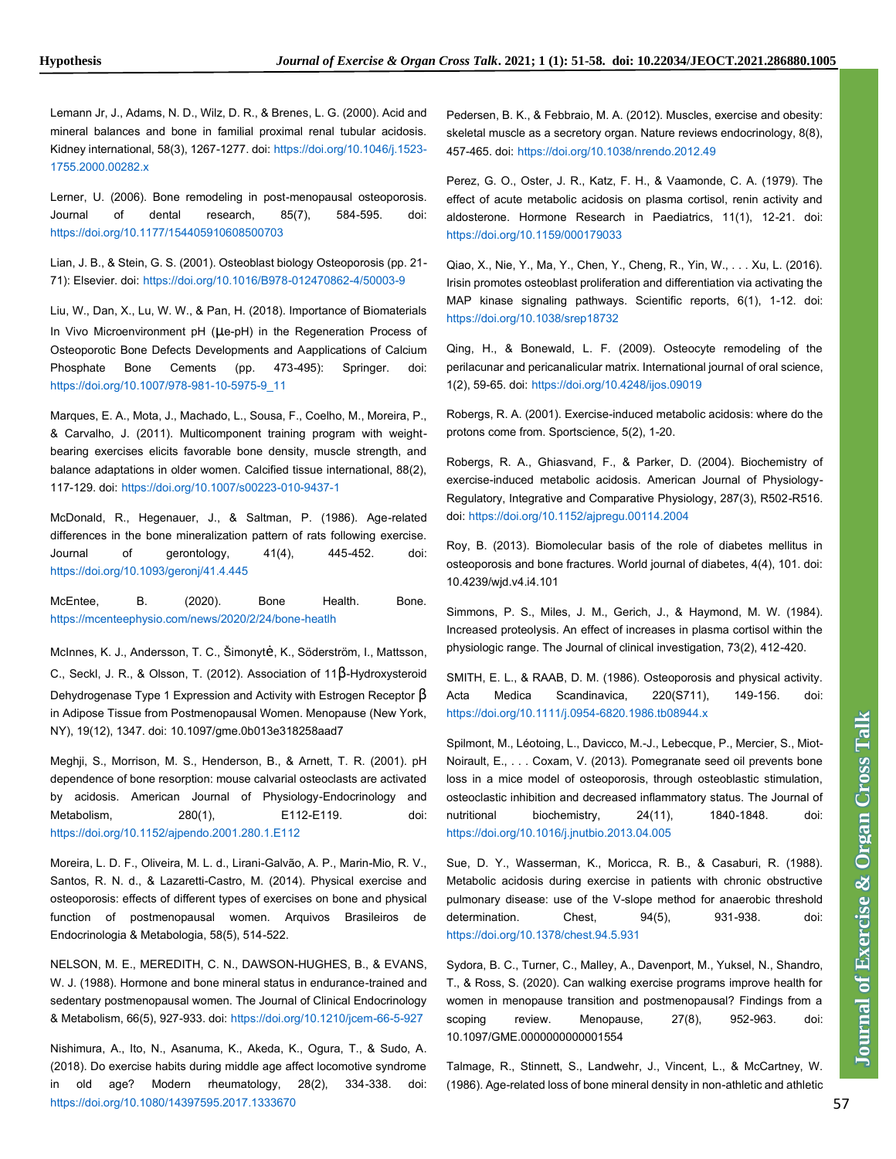Lemann Jr, J., Adams, N. D., Wilz, D. R., & Brenes, L. G. (2000). Acid and mineral balances and bone in familial proximal renal tubular acidosis. Kidney international, 58(3), 1267-1277. doi: [https://doi.org/10.1046/j.1523-](https://doi.org/10.1046/j.1523-1755.2000.00282.x) [1755.2000.00282.x](https://doi.org/10.1046/j.1523-1755.2000.00282.x)

Lerner, U. (2006). Bone remodeling in post-menopausal osteoporosis. Journal of dental research, 85(7), 584-595. doi: <https://doi.org/10.1177/154405910608500703>

Lian, J. B., & Stein, G. S. (2001). Osteoblast biology Osteoporosis (pp. 21- 71): Elsevier. doi: <https://doi.org/10.1016/B978-012470862-4/50003-9>

Liu, W., Dan, X., Lu, W. W., & Pan, H. (2018). Importance of Biomaterials In Vivo Microenvironment pH (μe-pH) in the Regeneration Process of Osteoporotic Bone Defects Developments and Aapplications of Calcium Phosphate Bone Cements (pp. 473-495): Springer. doi: [https://doi.org/10.1007/978-981-10-5975-9\\_11](https://doi.org/10.1007/978-981-10-5975-9_11)

Marques, E. A., Mota, J., Machado, L., Sousa, F., Coelho, M., Moreira, P., & Carvalho, J. (2011). Multicomponent training program with weightbearing exercises elicits favorable bone density, muscle strength, and balance adaptations in older women. Calcified tissue international, 88(2), 117-129. doi: <https://doi.org/10.1007/s00223-010-9437-1>

McDonald, R., Hegenauer, J., & Saltman, P. (1986). Age-related differences in the bone mineralization pattern of rats following exercise. Journal of gerontology, 41(4), 445-452. doi: <https://doi.org/10.1093/geronj/41.4.445>

McEntee, B. (2020). Bone Health. Bone. <https://mcenteephysio.com/news/2020/2/24/bone-heatlh>

McInnes, K. J., Andersson, T. C., Šimonytė, K., Söderström, I., Mattsson, C., Seckl, J. R., & Olsson, T. (2012). Association of 11β-Hydroxysteroid Dehydrogenase Type 1 Expression and Activity with Estrogen Receptor β in Adipose Tissue from Postmenopausal Women. Menopause (New York, NY), 19(12), 1347. doi: 10.1097/gme.0b013e318258aad7

Meghji, S., Morrison, M. S., Henderson, B., & Arnett, T. R. (2001). pH dependence of bone resorption: mouse calvarial osteoclasts are activated by acidosis. American Journal of Physiology-Endocrinology and Metabolism, 280(1), E112-E119. doi: <https://doi.org/10.1152/ajpendo.2001.280.1.E112>

Moreira, L. D. F., Oliveira, M. L. d., Lirani-Galvão, A. P., Marin-Mio, R. V., Santos, R. N. d., & Lazaretti-Castro, M. (2014). Physical exercise and osteoporosis: effects of different types of exercises on bone and physical function of postmenopausal women. Arquivos Brasileiros de Endocrinologia & Metabologia, 58(5), 514-522.

NELSON, M. E., MEREDITH, C. N., DAWSON-HUGHES, B., & EVANS, W. J. (1988). Hormone and bone mineral status in endurance-trained and sedentary postmenopausal women. The Journal of Clinical Endocrinology & Metabolism, 66(5), 927-933. doi: <https://doi.org/10.1210/jcem-66-5-927>

Nishimura, A., Ito, N., Asanuma, K., Akeda, K., Ogura, T., & Sudo, A. (2018). Do exercise habits during middle age affect locomotive syndrome in old age? Modern rheumatology, 28(2), 334-338. doi: <https://doi.org/10.1080/14397595.2017.1333670>

Pedersen, B. K., & Febbraio, M. A. (2012). Muscles, exercise and obesity: skeletal muscle as a secretory organ. Nature reviews endocrinology, 8(8), 457-465. doi: <https://doi.org/10.1038/nrendo.2012.49>

Perez, G. O., Oster, J. R., Katz, F. H., & Vaamonde, C. A. (1979). The effect of acute metabolic acidosis on plasma cortisol, renin activity and aldosterone. Hormone Research in Paediatrics, 11(1), 12-21. doi: <https://doi.org/10.1159/000179033>

Qiao, X., Nie, Y., Ma, Y., Chen, Y., Cheng, R., Yin, W., . . . Xu, L. (2016). Irisin promotes osteoblast proliferation and differentiation via activating the MAP kinase signaling pathways. Scientific reports, 6(1), 1-12. doi: <https://doi.org/10.1038/srep18732>

Qing, H., & Bonewald, L. F. (2009). Osteocyte remodeling of the perilacunar and pericanalicular matrix. International journal of oral science, 1(2), 59-65. doi: <https://doi.org/10.4248/ijos.09019>

Robergs, R. A. (2001). Exercise-induced metabolic acidosis: where do the protons come from. Sportscience, 5(2), 1-20.

Robergs, R. A., Ghiasvand, F., & Parker, D. (2004). Biochemistry of exercise-induced metabolic acidosis. American Journal of Physiology-Regulatory, Integrative and Comparative Physiology, 287(3), R502-R516. doi: <https://doi.org/10.1152/ajpregu.00114.2004>

Roy, B. (2013). Biomolecular basis of the role of diabetes mellitus in osteoporosis and bone fractures. World journal of diabetes, 4(4), 101. doi: 10.4239/wjd.v4.i4.101

Simmons, P. S., Miles, J. M., Gerich, J., & Haymond, M. W. (1984). Increased proteolysis. An effect of increases in plasma cortisol within the physiologic range. The Journal of clinical investigation, 73(2), 412-420.

SMITH, E. L., & RAAB, D. M. (1986). Osteoporosis and physical activity. Acta Medica Scandinavica, 220(S711), 149-156. doi: <https://doi.org/10.1111/j.0954-6820.1986.tb08944.x>

Spilmont, M., Léotoing, L., Davicco, M.-J., Lebecque, P., Mercier, S., Miot-Noirault, E., . . . Coxam, V. (2013). Pomegranate seed oil prevents bone loss in a mice model of osteoporosis, through osteoblastic stimulation, osteoclastic inhibition and decreased inflammatory status. The Journal of nutritional biochemistry, 24(11), 1840-1848. doi: <https://doi.org/10.1016/j.jnutbio.2013.04.005>

Sue, D. Y., Wasserman, K., Moricca, R. B., & Casaburi, R. (1988). Metabolic acidosis during exercise in patients with chronic obstructive pulmonary disease: use of the V-slope method for anaerobic threshold determination. Chest, 94(5), 931-938. doi: <https://doi.org/10.1378/chest.94.5.931>

Sydora, B. C., Turner, C., Malley, A., Davenport, M., Yuksel, N., Shandro, T., & Ross, S. (2020). Can walking exercise programs improve health for women in menopause transition and postmenopausal? Findings from a scoping review. Menopause, 27(8), 952-963. doi: 10.1097/GME.0000000000001554

Talmage, R., Stinnett, S., Landwehr, J., Vincent, L., & McCartney, W. (1986). Age-related loss of bone mineral density in non-athletic and athletic